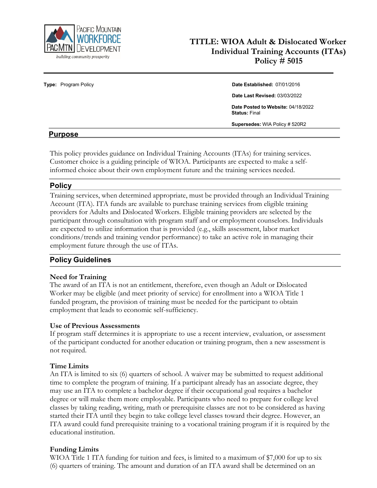

# **TITLE: WIOA Adult & Dislocated Worker Individual Training Accounts (ITAs) Policy # 5015**

#### **Type:** Program Policy **Date Established:** 07/01/2016

**Date Last Revised:** 03/03/2022

**Date Posted to Website:** 04/18/2022 **Status:** Final

**Supersedes:** WIA Policy # 520R2

#### **Purpose**

This policy provides guidance on Individual Training Accounts (ITAs) for training services. Customer choice is a guiding principle of WIOA. Participants are expected to make a selfinformed choice about their own employment future and the training services needed.

#### **Policy**

Training services, when determined appropriate, must be provided through an Individual Training Account (ITA). ITA funds are available to purchase training services from eligible training providers for Adults and Dislocated Workers. Eligible training providers are selected by the participant through consultation with program staff and or employment counselors. Individuals are expected to utilize information that is provided (e.g., skills assessment, labor market conditions/trends and training vendor performance) to take an active role in managing their employment future through the use of ITAs.

## **Policy Guidelines**

#### **Need for Training**

The award of an ITA is not an entitlement, therefore, even though an Adult or Dislocated Worker may be eligible (and meet priority of service) for enrollment into a WIOA Title 1 funded program, the provision of training must be needed for the participant to obtain employment that leads to economic self-sufficiency.

#### **Use of Previous Assessments**

If program staff determines it is appropriate to use a recent interview, evaluation, or assessment of the participant conducted for another education or training program, then a new assessment is not required.

#### **Time Limits**

An ITA is limited to six (6) quarters of school. A waiver may be submitted to request additional time to complete the program of training. If a participant already has an associate degree, they may use an ITA to complete a bachelor degree if their occupational goal requires a bachelor degree or will make them more employable. Participants who need to prepare for college level classes by taking reading, writing, math or prerequisite classes are not to be considered as having started their ITA until they begin to take college level classes toward their degree. However, an ITA award could fund prerequisite training to a vocational training program if it is required by the educational institution.

#### **Funding Limits**

WIOA Title 1 ITA funding for tuition and fees, is limited to a maximum of \$7,000 for up to six (6) quarters of training. The amount and duration of an ITA award shall be determined on an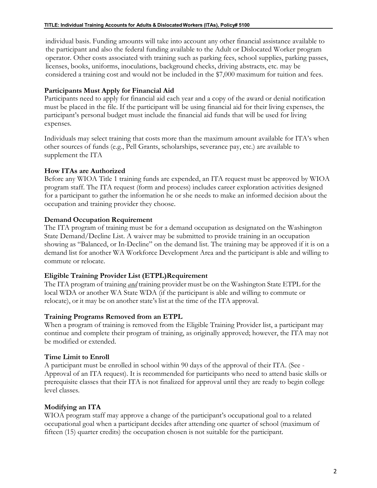individual basis. Funding amounts will take into account any other financial assistance available to the participant and also the federal funding available to the Adult or Dislocated Worker program operator. Other costs associated with training such as parking fees, school supplies, parking passes, licenses, books, uniforms, inoculations, background checks, driving abstracts, etc. may be considered a training cost and would not be included in the \$7,000 maximum for tuition and fees.

#### **Participants Must Apply for Financial Aid**

Participants need to apply for financial aid each year and a copy of the award or denial notification must be placed in the file. If the participant will be using financial aid for their living expenses, the participant's personal budget must include the financial aid funds that will be used for living expenses.

Individuals may select training that costs more than the maximum amount available for ITA's when other sources of funds (e.g., Pell Grants, scholarships, severance pay, etc.) are available to supplement the ITA

## **How ITAs are Authorized**

Before any WIOA Title 1 training funds are expended, an ITA request must be approved by WIOA program staff. The ITA request (form and process) includes career exploration activities designed for a participant to gather the information he or she needs to make an informed decision about the occupation and training provider they choose.

#### **Demand Occupation Requirement**

The ITA program of training must be for a demand occupation as designated on the Washington State Demand/Decline List. A waiver may be submitted to provide training in an occupation showing as "Balanced, or In-Decline" on the demand list. The training may be approved if it is on a demand list for another WA Workforce Development Area and the participant is able and willing to commute or relocate.

#### **Eligible Training Provider List (ETPL)Requirement**

The ITA program of training *and* training provider must be on the Washington State ETPL for the local WDA or another WA State WDA (if the participant is able and willing to commute or relocate), or it may be on another state's list at the time of the ITA approval.

#### **Training Programs Removed from an ETPL**

When a program of training is removed from the Eligible Training Provider list, a participant may continue and complete their program of training, as originally approved; however, the ITA may not be modified or extended.

#### **Time Limit to Enroll**

A participant must be enrolled in school within 90 days of the approval of their ITA. (See - Approval of an ITA request). It is recommended for participants who need to attend basic skills or prerequisite classes that their ITA is not finalized for approval until they are ready to begin college level classes.

## **Modifying an ITA**

WIOA program staff may approve a change of the participant's occupational goal to a related occupational goal when a participant decides after attending one quarter of school (maximum of fifteen (15) quarter credits) the occupation chosen is not suitable for the participant.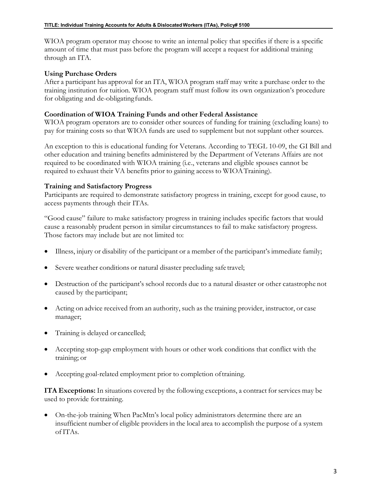WIOA program operator may choose to write an internal policy that specifies if there is a specific amount of time that must pass before the program will accept a request for additional training through an ITA.

#### **Using Purchase Orders**

After a participant has approval for an ITA, WIOA program staff may write a purchase order to the training institution for tuition. WIOA program staff must follow its own organization's procedure for obligating and de-obligatingfunds.

#### **Coordination of WIOA Training Funds and other Federal Assistance**

WIOA program operators are to consider other sources of funding for training (excluding loans) to pay for training costs so that WIOA funds are used to supplement but not supplant other sources.

An exception to this is educational funding for Veterans. According to TEGL 10-09, the GI Bill and other education and training benefits administered by the Department of Veterans Affairs are not required to be coordinated with WIOA training (i.e., veterans and eligible spouses cannot be required to exhaust their VA benefits prior to gaining access to WIOATraining).

#### **Training and Satisfactory Progress**

Participants are required to demonstrate satisfactory progress in training, except for good cause, to access payments through their ITAs.

"Good cause" failure to make satisfactory progress in training includes specific factors that would cause a reasonably prudent person in similar circumstances to fail to make satisfactory progress. Those factors may include but are not limited to:

- Illness, injury or disability of the participant or a member of the participant's immediate family;
- Severe weather conditions or natural disaster precluding safe travel;
- Destruction of the participant's school records due to a natural disaster or other catastrophe not caused by the participant;
- Acting on advice received from an authority, such as the training provider, instructor, or case manager;
- Training is delayed or cancelled;
- Accepting stop-gap employment with hours or other work conditions that conflict with the training; or
- Accepting goal-related employment prior to completion oftraining.

**ITA Exceptions:** In situations covered by the following exceptions, a contract for services may be used to provide fortraining.

• On-the-job training When PacMtn's local policy administrators determine there are an insufficient number of eligible providers in the local area to accomplish the purpose of a system ofITAs.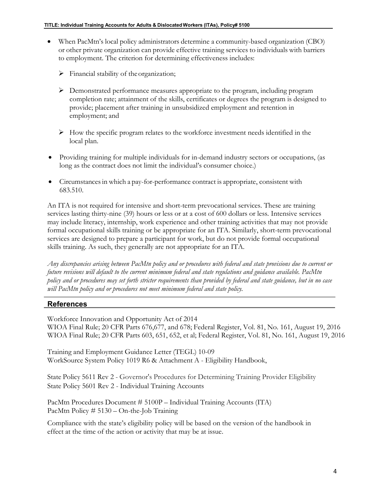- When PacMtn's local policy administrators determine a community-based organization (CBO) or other private organization can provide effective training services to individuals with barriers to employment. The criterion for determining effectiveness includes:
	- $\triangleright$  Financial stability of the organization;
	- $\triangleright$  Demonstrated performance measures appropriate to the program, including program completion rate; attainment of the skills, certificates or degrees the program is designed to provide; placement after training in unsubsidized employment and retention in employment; and
	- $\triangleright$  How the specific program relates to the workforce investment needs identified in the local plan.
- Providing training for multiple individuals for in-demand industry sectors or occupations, (as long as the contract does not limit the individual's consumer choice.)
- Circumstances in which a pay-for-performance contract is appropriate, consistent with 683.510.

An ITA is not required for intensive and short-term prevocational services. These are training services lasting thirty-nine (39) hours or less or at a cost of 600 dollars or less. Intensive services may include literacy, internship, work experience and other training activities that may not provide formal occupational skills training or be appropriate for an ITA. Similarly, short-term prevocational services are designed to prepare a participant for work, but do not provide formal occupational skills training. As such, they generally are not appropriate for an ITA.

*Any discrepancies arising between PacMtn policy and or procedures with federal and state provisions due to current or future revisions will default to the current minimum federal and state regulations and guidance available. PacMtn policy and or procedures may set forth stricter requirements than provided by federal and state guidance, but in no case will PacMtn policy and or procedures not meet minimum federal and state policy.*

## **References**

Workforce Innovation and Opportunity Act of 2014 WIOA Final Rule; 20 CFR Parts 676,677, and 678; Federal Register, Vol. 81, No. 161, August 19, 2016 WIOA Final Rule; 20 CFR Parts 603, 651, 652, et al; Federal Register, Vol. 81, No. 161, August 19, 2016

Training and Employment Guidance Letter (TEGL) 10-09 WorkSource System Policy 1019 R6 & Attachment A - Eligibility Handbook,

State Policy 5611 Rev 2 - Governor's Procedures for Determining Training Provider Eligibility State Policy 5601 Rev 2 - Individual Training Accounts

PacMtn Procedures Document # 5100P – Individual Training Accounts (ITA) PacMtn Policy # 5130 – On-the-Job Training

Compliance with the state's eligibility policy will be based on the version of the handbook in effect at the time of the action or activity that may be at issue.